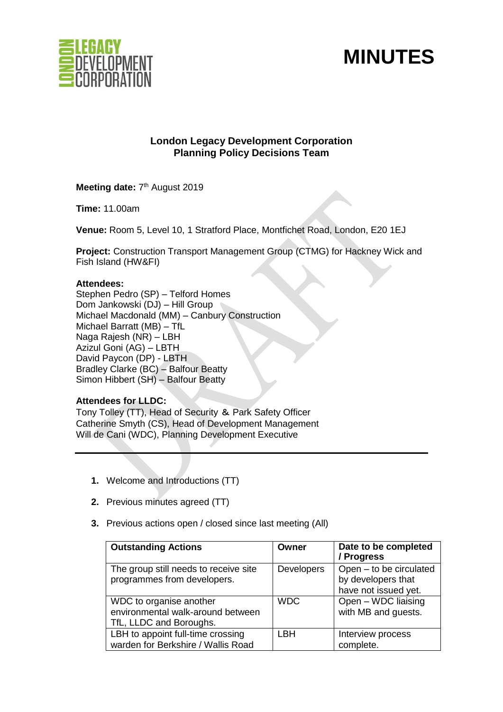



# **London Legacy Development Corporation Planning Policy Decisions Team**

Meeting date: 7<sup>th</sup> August 2019

**Time:** 11.00am

**Venue:** Room 5, Level 10, 1 Stratford Place, Montfichet Road, London, E20 1EJ

**Project:** Construction Transport Management Group (CTMG) for Hackney Wick and Fish Island (HW&FI)

### **Attendees:**

Stephen Pedro (SP) – Telford Homes Dom Jankowski (DJ) – Hill Group Michael Macdonald (MM) – Canbury Construction Michael Barratt (MB) – TfL Naga Rajesh (NR) – LBH Azizul Goni (AG) – LBTH David Paycon (DP) - LBTH Bradley Clarke (BC) – Balfour Beatty Simon Hibbert (SH) – Balfour Beatty

## **Attendees for LLDC:**

Tony Tolley (TT), Head of Security & Park Safety Officer Catherine Smyth (CS), Head of Development Management Will de Cani (WDC), Planning Development Executive

- **1.** Welcome and Introductions (TT)
- **2.** Previous minutes agreed (TT)
- **3.** Previous actions open / closed since last meeting (All)

| <b>Outstanding Actions</b>                                                              | Owner             | Date to be completed<br>/ Progress                                    |
|-----------------------------------------------------------------------------------------|-------------------|-----------------------------------------------------------------------|
| The group still needs to receive site<br>programmes from developers.                    | <b>Developers</b> | Open - to be circulated<br>by developers that<br>have not issued yet. |
| WDC to organise another<br>environmental walk-around between<br>TfL, LLDC and Boroughs. | <b>WDC</b>        | Open - WDC liaising<br>with MB and guests.                            |
| LBH to appoint full-time crossing<br>warden for Berkshire / Wallis Road                 | LBH               | Interview process<br>complete.                                        |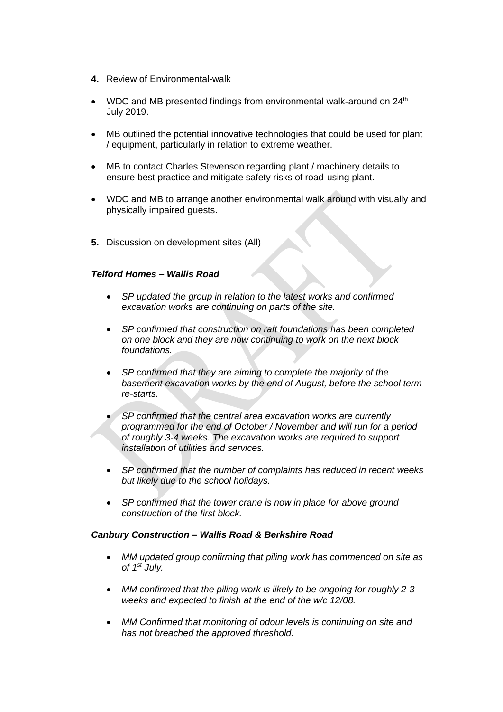- **4.** Review of Environmental-walk
- WDC and MB presented findings from environmental walk-around on 24<sup>th</sup> July 2019.
- MB outlined the potential innovative technologies that could be used for plant / equipment, particularly in relation to extreme weather.
- MB to contact Charles Stevenson regarding plant / machinery details to ensure best practice and mitigate safety risks of road-using plant.
- WDC and MB to arrange another environmental walk around with visually and physically impaired guests.
- **5.** Discussion on development sites (All)

### *Telford Homes – Wallis Road*

- *SP updated the group in relation to the latest works and confirmed excavation works are continuing on parts of the site.*
- *SP confirmed that construction on raft foundations has been completed on one block and they are now continuing to work on the next block foundations.*
- *SP confirmed that they are aiming to complete the majority of the basement excavation works by the end of August, before the school term re-starts.*
- *SP confirmed that the central area excavation works are currently programmed for the end of October / November and will run for a period of roughly 3-4 weeks. The excavation works are required to support installation of utilities and services.*
- *SP confirmed that the number of complaints has reduced in recent weeks but likely due to the school holidays.*
- *SP confirmed that the tower crane is now in place for above ground construction of the first block.*

#### *Canbury Construction – Wallis Road & Berkshire Road*

- *MM updated group confirming that piling work has commenced on site as of 1 st July.*
- *MM confirmed that the piling work is likely to be ongoing for roughly 2-3 weeks and expected to finish at the end of the w/c 12/08.*
- *MM Confirmed that monitoring of odour levels is continuing on site and has not breached the approved threshold.*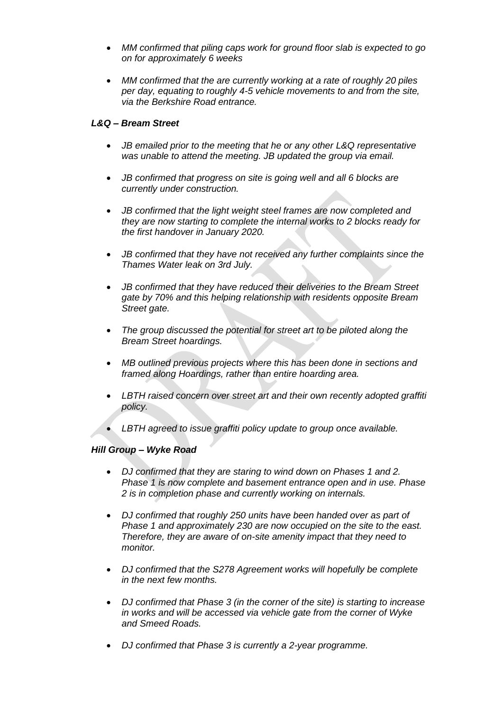- *MM confirmed that piling caps work for ground floor slab is expected to go on for approximately 6 weeks*
- *MM confirmed that the are currently working at a rate of roughly 20 piles per day, equating to roughly 4-5 vehicle movements to and from the site, via the Berkshire Road entrance.*

## *L&Q – Bream Street*

- *JB emailed prior to the meeting that he or any other L&Q representative was unable to attend the meeting. JB updated the group via email.*
- *JB confirmed that progress on site is going well and all 6 blocks are currently under construction.*
- *JB confirmed that the light weight steel frames are now completed and they are now starting to complete the internal works to 2 blocks ready for the first handover in January 2020.*
- *JB confirmed that they have not received any further complaints since the Thames Water leak on 3rd July.*
- *JB confirmed that they have reduced their deliveries to the Bream Street gate by 70% and this helping relationship with residents opposite Bream Street gate.*
- *The group discussed the potential for street art to be piloted along the Bream Street hoardings.*
- *MB outlined previous projects where this has been done in sections and framed along Hoardings, rather than entire hoarding area.*
- *LBTH raised concern over street art and their own recently adopted graffiti policy.*
- *LBTH agreed to issue graffiti policy update to group once available.*

## *Hill Group – Wyke Road*

- *DJ confirmed that they are staring to wind down on Phases 1 and 2. Phase 1 is now complete and basement entrance open and in use. Phase 2 is in completion phase and currently working on internals.*
- *DJ confirmed that roughly 250 units have been handed over as part of Phase 1 and approximately 230 are now occupied on the site to the east. Therefore, they are aware of on-site amenity impact that they need to monitor.*
- *DJ confirmed that the S278 Agreement works will hopefully be complete in the next few months.*
- *DJ confirmed that Phase 3 (in the corner of the site) is starting to increase in works and will be accessed via vehicle gate from the corner of Wyke and Smeed Roads.*
- *DJ confirmed that Phase 3 is currently a 2-year programme.*